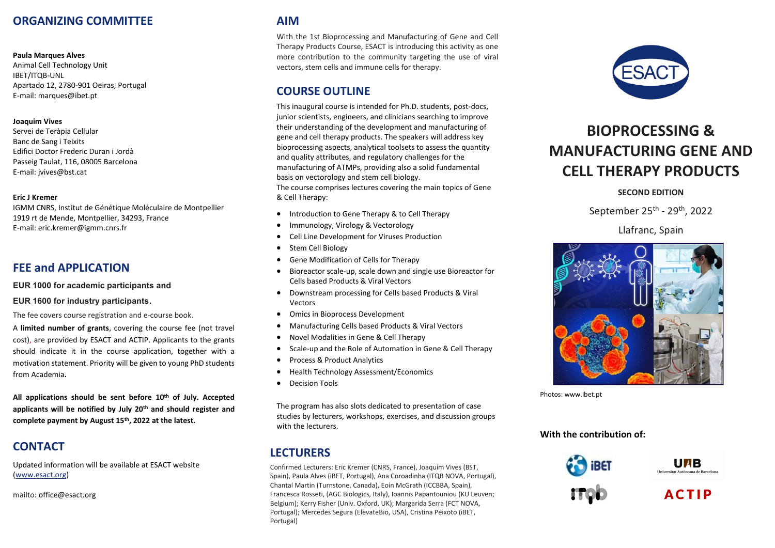## **ORGANIZING COMMITTEE**

#### **Paula Marques Alves**

Animal Cell Technology Unit IBET/ITQB-UNL Apartado 12, 2780-901 Oeiras, Portugal E-mail: marques@ibet.pt

#### **Joaquim Vives**

Servei de Teràpia Cellular Banc de Sang i Teixits Edifici Doctor Frederic Duran i Jordà Passeig Taulat, 116, 08005 Barcelona E-mail: jvives@bst.cat

#### **Eric J Kremer**

IGMM CNRS, Institut de Génétique Moléculaire de Montpellier 1919 rt de Mende, Montpellier, 34293, France E-mail: eric.kremer@igmm.cnrs.fr

#### **FEE and APPLICATION**

**EUR 1000 for academic participants and**

#### **EUR 1600 for industry participants**.

The fee covers course registration and e-course book.

A **limited number of grants**, covering the course fee (not travel cost), are provided by ESACT and ACTIP. Applicants to the grants should indicate it in the course application, together with a motivation statement. Priority will be given to young PhD students from Academia**.**

**All applications should be sent before 10 th of July. Accepted applicants will be notified by July 20 th and should register and complete payment by August 15th, 2022 at the latest.**

# **CONTACT**

Updated information will be available at ESACT website [\(www.esact.org\)](http://www.esact.org/)

mailto: office@esact.org

#### **AIM**

With the 1st Bioprocessing and Manufacturing of Gene and Cell Therapy Products Course, ESACT is introducing this activity as one more contribution to the community targeting the use of viral vectors, stem cells and immune cells for therapy.

### **COURSE OUTLINE**

This inaugural course is intended for Ph.D. students, post-docs, junior scientists, engineers, and clinicians searching to improve their understanding of the development and manufacturing of gene and cell therapy products. The speakers will address key bioprocessing aspects, analytical toolsets to assess the quantity and quality attributes, and regulatory challenges for the manufacturing of ATMPs, providing also a solid fundamental basis on vectorology and stem cell biology.

The course comprises lectures covering the main topics of Gene & Cell Therapy:

- Introduction to Gene Therapy & to Cell Therapy
- Immunology, Virology & Vectorology
- Cell Line Development for Viruses Production
- Stem Cell Biology
- Gene Modification of Cells for Therapy
- Bioreactor scale-up, scale down and single use Bioreactor for Cells based Products & Viral Vectors
- Downstream processing for Cells based Products & Viral Vectors
- Omics in Bioprocess Development
- Manufacturing Cells based Products & Viral Vectors
- Novel Modalities in Gene & Cell Therapy
- Scale-up and the Role of Automation in Gene & Cell Therapy
- Process & Product Analytics
- Health Technology Assessment/Economics
- Decision Tools

The program has also slots dedicated to presentation of case studies by lecturers, workshops, exercises, and discussion groups with the lecturers.

## **LECTURERS**

Confirmed Lecturers: Eric Kremer (CNRS, France), Joaquim Vives (BST, Spain), Paula Alves (iBET, Portugal), Ana Coroadinha (ITQB NOVA, Portugal), Chantal Martin (Turnstone, Canada), Eoin McGrath (ICCBBA, Spain), Francesca Rosseti, (AGC Biologics, Italy), Ioannis Papantouniou (KU Leuven; Belgium); Kerry Fisher (Univ. Oxford, UK); Margarida Serra (FCT NOVA, Portugal); Mercedes Segura (ElevateBio, USA), Cristina Peixoto (iBET, Portugal)



# **BIOPROCESSING & MANUFACTURING GENE AND CELL THERAPY PRODUCTS**

#### **SECOND EDITION**

September 25<sup>th</sup> - 29<sup>th</sup>, 2022

Llafranc, Spain



Photos: www.ibet.pt

#### **With the contribution of:**